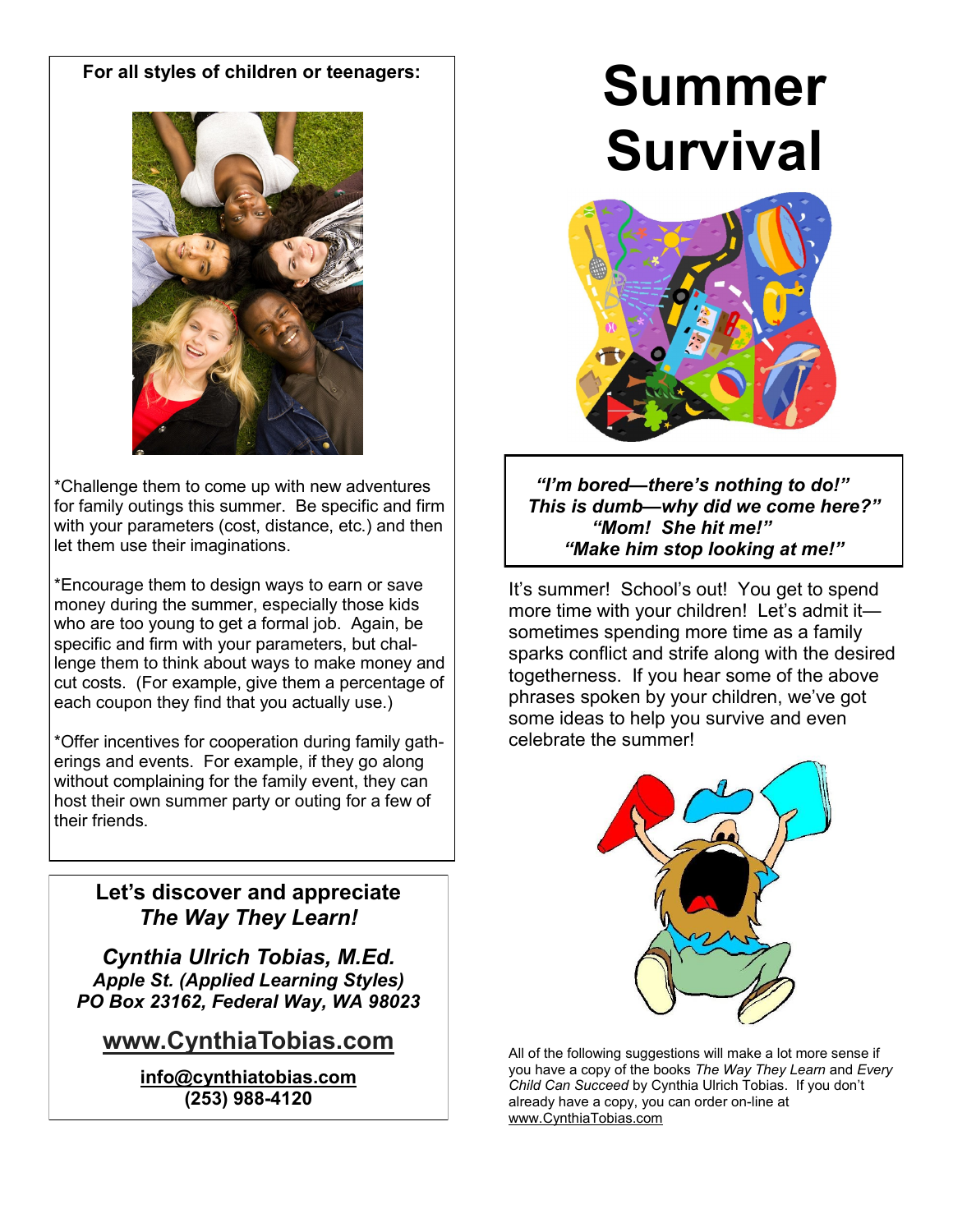# **For all styles of children or teenagers:**



\*Challenge them to come up with new adventures for family outings this summer. Be specific and firm with your parameters (cost, distance, etc.) and then let them use their imaginations.

\*Encourage them to design ways to earn or save money during the summer, especially those kids who are too young to get a formal job. Again, be specific and firm with your parameters, but challenge them to think about ways to make money and cut costs. (For example, give them a percentage of each coupon they find that you actually use.)

\*Offer incentives for cooperation during family gatherings and events. For example, if they go along without complaining for the family event, they can host their own summer party or outing for a few of their friends.

# **Let's discover and appreciate**  *The Way They Learn!*

*Cynthia Ulrich Tobias, M.Ed. Apple St. (Applied Learning Styles) PO Box 23162, Federal Way, WA 98023*

# **www.CynthiaTobias.com**

**info@cynthiatobias.com (253) 988-4120**

# **Summer Survival**



*"I'm bored—there's nothing to do!" This is dumb—why did we come here?" "Mom! She hit me!" "Make him stop looking at me!"*

It's summer! School's out! You get to spend more time with your children! Let's admit it sometimes spending more time as a family sparks conflict and strife along with the desired togetherness. If you hear some of the above phrases spoken by your children, we've got some ideas to help you survive and even celebrate the summer!



All of the following suggestions will make a lot more sense if you have a copy of the books *The Way They Learn* and *Every Child Can Succeed* by Cynthia Ulrich Tobias. If you don't already have a copy, you can order on-line at www.CynthiaTobias.com